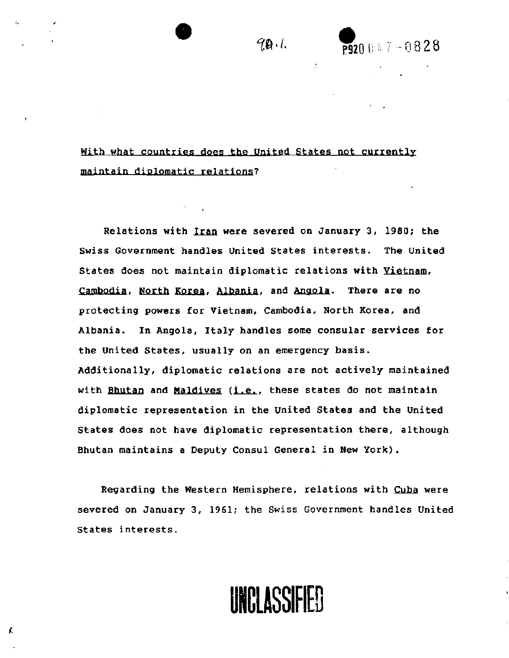With what countries does the United States not currently maintain diplomatic relations?

Relations with Iran were severed on January 3, 1980; the Swiss Government handles United States interests. The United States does not maintain diplomatic relations with Vietnam, Cambodia, North Korea, Albania, and Angola. There are no protecting powers for Vietnam, Cambodia, North Korea, and Albania. In Angola, Italy handles some consular services for the United States, usually on an emergency basis. Additionally, diplomatic relations are not actively maintained with Bhutan and Maldives (i.e., these states do not maintain diplomatic representation in the United States and the United States does not have diplomatic representation there, although Bhutan maintains a Deputy Consul General in New York).

Regarding the Western Hemisphere, relations with Cuba were severed on January 3, 1961; the Swiss Government handles United States interests.

**STAMP: UNCLASSIFIED** 

K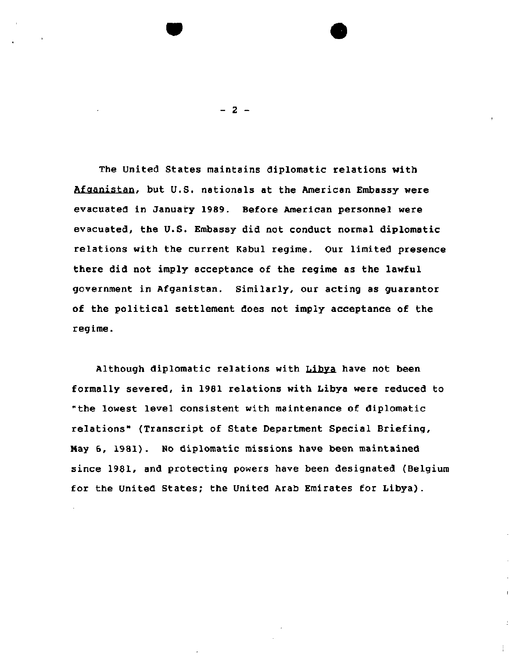The United States maintains diplomatic relations with Afganistan, but U.S. nationals at the American Embassy were evacuated in January 1989. Before American personnel were evacuated, the U.S. Embassy did not conduct normal diplomatic relations with the current Kabul regime. Our limited presence there did not imply acceptance of the regime as the lawful government in Afganistan. Similarly, our acting as guarantor of the political settlement does not imply acceptance of the regime.

Although diplomatic relations with Libya have not been formally severed, in 1981 relations with Libya were reduced to "the lowest level consistent with maintenance of diplomatic relations" (Transcript of State Department Special Briefing, May 6, 1981). No diplomatic missions have been maintained since 1981, and protecting powers have been designated (Belgium for the United States; the United Arab Emirates for Libya).

- 2 -